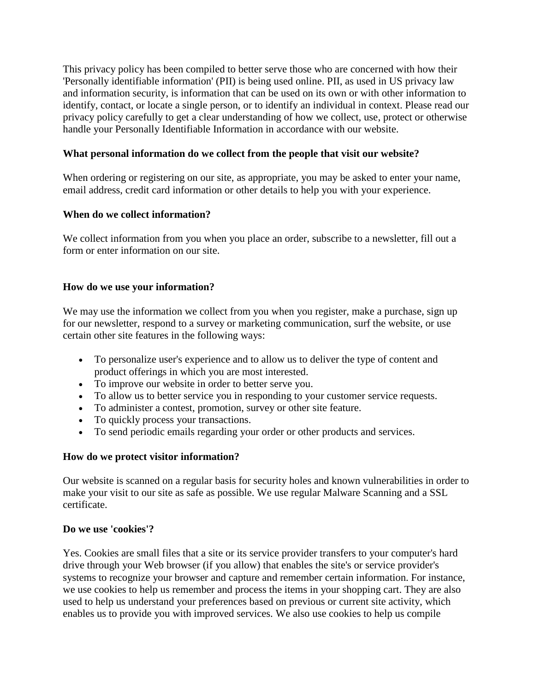This privacy policy has been compiled to better serve those who are concerned with how their 'Personally identifiable information' (PII) is being used online. PII, as used in US privacy law and information security, is information that can be used on its own or with other information to identify, contact, or locate a single person, or to identify an individual in context. Please read our privacy policy carefully to get a clear understanding of how we collect, use, protect or otherwise handle your Personally Identifiable Information in accordance with our website.

#### **What personal information do we collect from the people that visit our website?**

When ordering or registering on our site, as appropriate, you may be asked to enter your name, email address, credit card information or other details to help you with your experience.

#### **When do we collect information?**

We collect information from you when you place an order, subscribe to a newsletter, fill out a form or enter information on our site.

#### **How do we use your information?**

We may use the information we collect from you when you register, make a purchase, sign up for our newsletter, respond to a survey or marketing communication, surf the website, or use certain other site features in the following ways:

- To personalize user's experience and to allow us to deliver the type of content and product offerings in which you are most interested.
- To improve our website in order to better serve you.
- To allow us to better service you in responding to your customer service requests.
- To administer a contest, promotion, survey or other site feature.
- To quickly process your transactions.
- To send periodic emails regarding your order or other products and services.

## **How do we protect visitor information?**

Our website is scanned on a regular basis for security holes and known vulnerabilities in order to make your visit to our site as safe as possible. We use regular Malware Scanning and a SSL certificate.

#### **Do we use 'cookies'?**

Yes. Cookies are small files that a site or its service provider transfers to your computer's hard drive through your Web browser (if you allow) that enables the site's or service provider's systems to recognize your browser and capture and remember certain information. For instance, we use cookies to help us remember and process the items in your shopping cart. They are also used to help us understand your preferences based on previous or current site activity, which enables us to provide you with improved services. We also use cookies to help us compile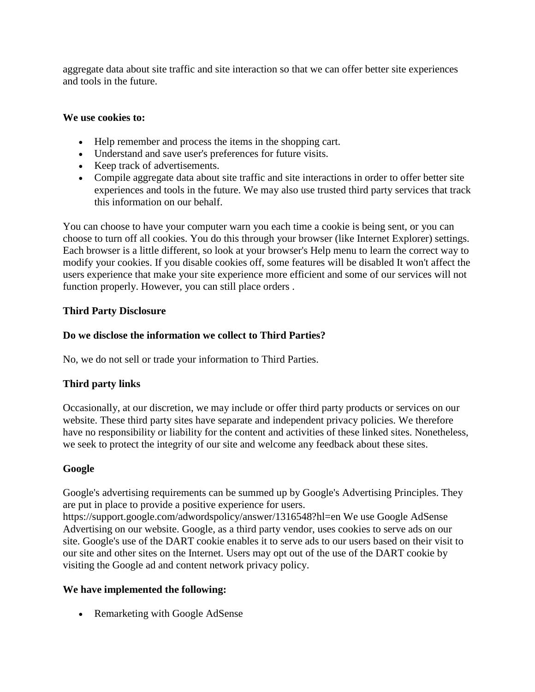aggregate data about site traffic and site interaction so that we can offer better site experiences and tools in the future.

#### **We use cookies to:**

- Help remember and process the items in the shopping cart.
- Understand and save user's preferences for future visits.
- Keep track of advertisements.
- Compile aggregate data about site traffic and site interactions in order to offer better site experiences and tools in the future. We may also use trusted third party services that track this information on our behalf.

You can choose to have your computer warn you each time a cookie is being sent, or you can choose to turn off all cookies. You do this through your browser (like Internet Explorer) settings. Each browser is a little different, so look at your browser's Help menu to learn the correct way to modify your cookies. If you disable cookies off, some features will be disabled It won't affect the users experience that make your site experience more efficient and some of our services will not function properly. However, you can still place orders .

## **Third Party Disclosure**

## **Do we disclose the information we collect to Third Parties?**

No, we do not sell or trade your information to Third Parties.

# **Third party links**

Occasionally, at our discretion, we may include or offer third party products or services on our website. These third party sites have separate and independent privacy policies. We therefore have no responsibility or liability for the content and activities of these linked sites. Nonetheless, we seek to protect the integrity of our site and welcome any feedback about these sites.

## **Google**

Google's advertising requirements can be summed up by Google's Advertising Principles. They are put in place to provide a positive experience for users.

https://support.google.com/adwordspolicy/answer/1316548?hl=en We use Google AdSense Advertising on our website. Google, as a third party vendor, uses cookies to serve ads on our site. Google's use of the DART cookie enables it to serve ads to our users based on their visit to our site and other sites on the Internet. Users may opt out of the use of the DART cookie by visiting the Google ad and content network privacy policy.

## **We have implemented the following:**

• Remarketing with Google AdSense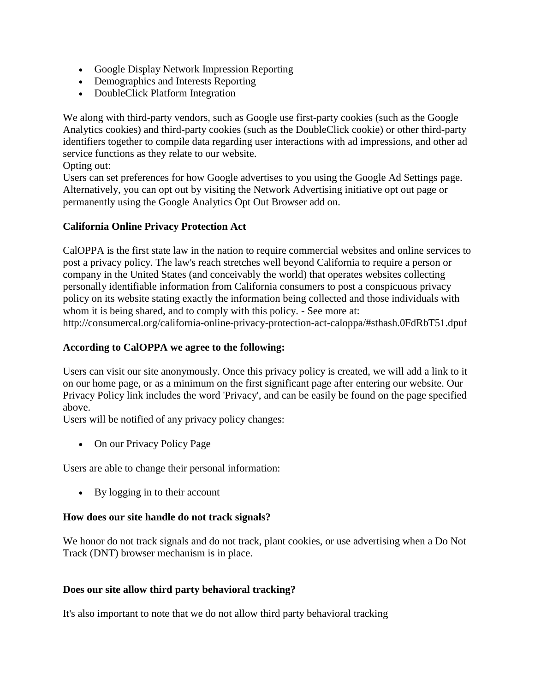- Google Display Network Impression Reporting
- Demographics and Interests Reporting
- DoubleClick Platform Integration

We along with third-party vendors, such as Google use first-party cookies (such as the Google Analytics cookies) and third-party cookies (such as the DoubleClick cookie) or other third-party identifiers together to compile data regarding user interactions with ad impressions, and other ad service functions as they relate to our website.

Opting out:

Users can set preferences for how Google advertises to you using the Google Ad Settings page. Alternatively, you can opt out by visiting the Network Advertising initiative opt out page or permanently using the Google Analytics Opt Out Browser add on.

# **California Online Privacy Protection Act**

CalOPPA is the first state law in the nation to require commercial websites and online services to post a privacy policy. The law's reach stretches well beyond California to require a person or company in the United States (and conceivably the world) that operates websites collecting personally identifiable information from California consumers to post a conspicuous privacy policy on its website stating exactly the information being collected and those individuals with whom it is being shared, and to comply with this policy. - See more at: http://consumercal.org/california-online-privacy-protection-act-caloppa/#sthash.0FdRbT51.dpuf

## **According to CalOPPA we agree to the following:**

Users can visit our site anonymously. Once this privacy policy is created, we will add a link to it on our home page, or as a minimum on the first significant page after entering our website. Our Privacy Policy link includes the word 'Privacy', and can be easily be found on the page specified above.

Users will be notified of any privacy policy changes:

• On our Privacy Policy Page

Users are able to change their personal information:

By logging in to their account

## **How does our site handle do not track signals?**

We honor do not track signals and do not track, plant cookies, or use advertising when a Do Not Track (DNT) browser mechanism is in place.

## **Does our site allow third party behavioral tracking?**

It's also important to note that we do not allow third party behavioral tracking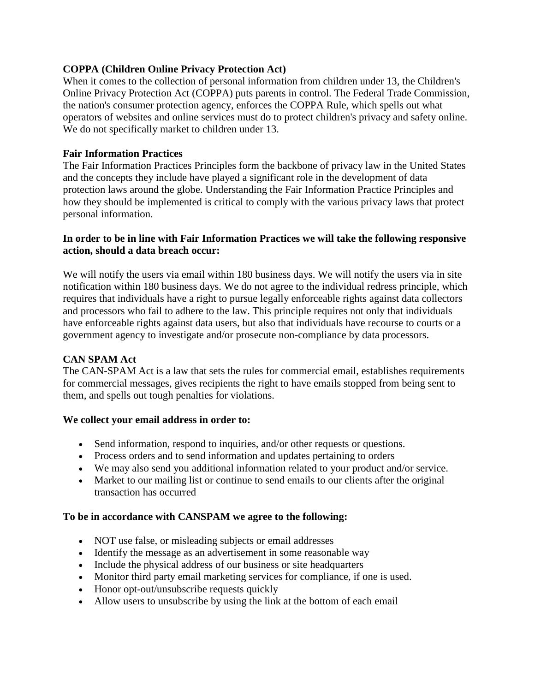## **COPPA (Children Online Privacy Protection Act)**

When it comes to the collection of personal information from children under 13, the Children's Online Privacy Protection Act (COPPA) puts parents in control. The Federal Trade Commission, the nation's consumer protection agency, enforces the COPPA Rule, which spells out what operators of websites and online services must do to protect children's privacy and safety online. We do not specifically market to children under 13.

#### **Fair Information Practices**

The Fair Information Practices Principles form the backbone of privacy law in the United States and the concepts they include have played a significant role in the development of data protection laws around the globe. Understanding the Fair Information Practice Principles and how they should be implemented is critical to comply with the various privacy laws that protect personal information.

#### **In order to be in line with Fair Information Practices we will take the following responsive action, should a data breach occur:**

We will notify the users via email within 180 business days. We will notify the users via in site notification within 180 business days. We do not agree to the individual redress principle, which requires that individuals have a right to pursue legally enforceable rights against data collectors and processors who fail to adhere to the law. This principle requires not only that individuals have enforceable rights against data users, but also that individuals have recourse to courts or a government agency to investigate and/or prosecute non-compliance by data processors.

## **CAN SPAM Act**

The CAN-SPAM Act is a law that sets the rules for commercial email, establishes requirements for commercial messages, gives recipients the right to have emails stopped from being sent to them, and spells out tough penalties for violations.

#### **We collect your email address in order to:**

- Send information, respond to inquiries, and/or other requests or questions.
- Process orders and to send information and updates pertaining to orders
- We may also send you additional information related to your product and/or service.
- Market to our mailing list or continue to send emails to our clients after the original transaction has occurred

#### **To be in accordance with CANSPAM we agree to the following:**

- NOT use false, or misleading subjects or email addresses
- Identify the message as an advertisement in some reasonable way
- Include the physical address of our business or site headquarters
- Monitor third party email marketing services for compliance, if one is used.
- Honor opt-out/unsubscribe requests quickly
- Allow users to unsubscribe by using the link at the bottom of each email